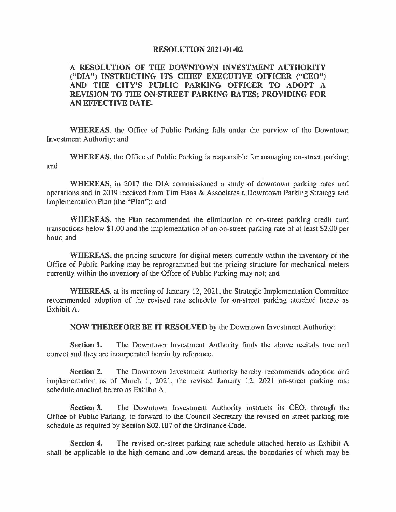#### **RESOLUTION 2021-01-02**

# **A RESOLUTION OF THE DOWNTOWN INVESTMENT AUTHORITY ("DIA") INSTRUCTING ITS CHIEF EXECUTIVE OFFICER ("CEO") AND THE CITY'S PUBLIC PARKING OFFICER TO ADOPT A REVISION TO THE ON-STREET PARKING RATES; PROVIDING FOR AN EFFECTIVE DATE.**

**WHEREAS,** the Office of Public Parking falls under the purview of the Downtown Investment Authority; and

**WHEREAS,** the Office of Public Parking is responsible for managing on-street parking; and

**WHEREAS,** in 2017 the DIA commissioned a study of downtown parking rates and operations and in 2019 received from Tim Haas & Associates a Downtown Parking Strategy and Implementation Plan (the "Plan"); and

**WHEREAS,** the Plan recommended the elimination of on-street parking credit card transactions below \$1.00 and the implementation of an on-street parking rate of at least \$2.00 per hour; and

**WHEREAS,** the pricing structure for digital meters currently within the inventory of the Office of Public Parking may be reprogrammed but the pricing structure for mechanical meters currently within the inventory of the Office of Public Parking may not; and

**WHEREAS,** at its meeting of January 12, 2021, the Strategic Implementation Committee recommended adoption of the revised rate schedule for on-street parking attached hereto as Exhibit A.

**NOW THEREFORE BE IT RESOLVED** by the Downtown Investment Authority:

**Section 1.** The Downtown Investment Authority finds the above recitals true and correct and they are incorporated herein by reference.

**Section 2.** The Downtown Investment Authority hereby recommends adoption and implementation as of March 1, 2021, the revised January 12, 2021 on-street parking rate schedule attached hereto as Exhibit A.

**Section 3.** The Downtown Investment Authority instructs its CEO, through the Office of Public Parking, to forward to the Council Secretary the revised on-street parking rate schedule as required by Section 802.107 of the Ordinance Code.

**Section 4.** The revised on-street parking rate schedule attached hereto as Exhibit A shall be applicable to the high-demand and low demand areas, the boundaries of which may be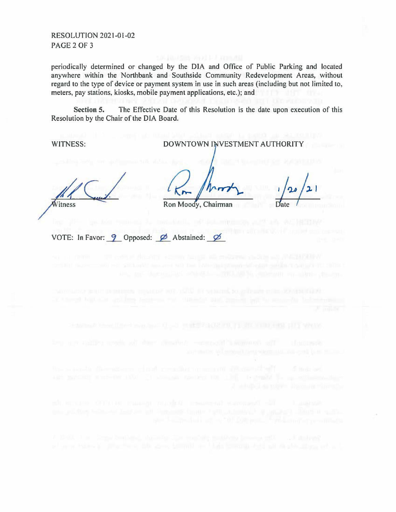#### RESOLUTION 2021-01-02 PAGE 2 OF 3

periodically determined or changed by the DIA and Office of Public Parking and located anywhere within the Northbank and Southside Community Redevelopment Areas, without regard to the type of device or payment system in use in such areas (including but not limited to, meters, pay stations, kiosks, mobile payment applications, etc.); and

**Section 5.** The Effective Date of this Resolution is the date upon execution of this Resolution by the Chair of the DIA Board.

WITNESS: DOWNTOWN INVESTMENT AUTHORITY  $\frac{1}{20}$  /21  $\frac{726}{\text{Date}}$ Witness Ron Moody, Chairman VOTE: In Favor:  $9$  Opposed:  $\emptyset$  Abstained:  $\emptyset$